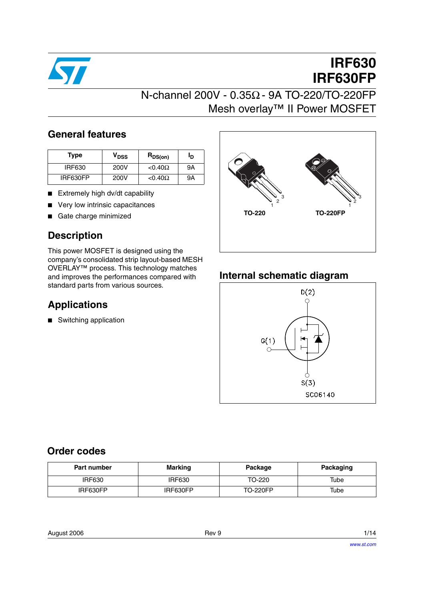

# **IRF630 IRF630FP**

# N-channel 200V - 0.35Ω - 9A TO-220/TO-220FP Mesh overlay™ II Power MOSFET

### **General features**

| <b>Type</b>   | V <sub>DSS</sub> | $R_{DS(on)}$      | םי |
|---------------|------------------|-------------------|----|
| <b>IRF630</b> | 200V             | $< 0.40\Omega$    | 9Α |
| IRF630FP      | 200V             | $<$ 0.40 $\Omega$ | 9Α |

- Extremely high dv/dt capability
- Very low intrinsic capacitances
- Gate charge minimized

### **Description**

This power MOSFET is designed using the company's consolidated strip layout-based MESH OVERLAY™ process. This technology matches and improves the performances compared with standard parts from various sources.

### **Applications**

■ Switching application



### **Internal schematic diagram**



### **Order codes**

| Part number   | <b>Marking</b> | Package         | Packaging |
|---------------|----------------|-----------------|-----------|
| <b>IRF630</b> | <b>IRF630</b>  | TO-220          | Tube      |
| IRF630FP      | IRF630FP       | <b>TO-220FP</b> | Tube      |

| 1/14 |
|------|
|      |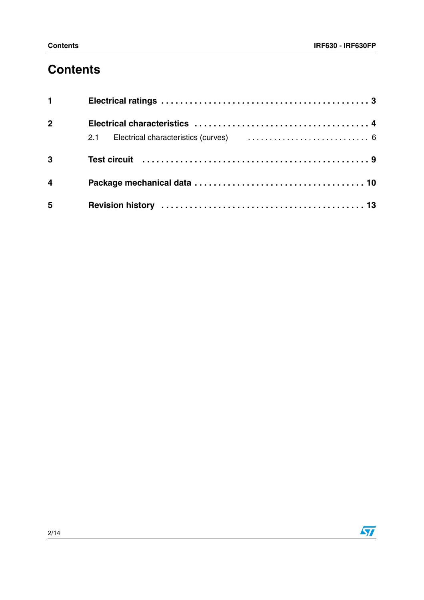# **Contents**

| $1 \quad \blacksquare$  |                                                                                                                                                                                                                                |  |
|-------------------------|--------------------------------------------------------------------------------------------------------------------------------------------------------------------------------------------------------------------------------|--|
| 2 <sup>1</sup>          |                                                                                                                                                                                                                                |  |
|                         | 2.1 Electrical characteristics (curves) (exceptional contract exceptional contract exception of the contract of the contract of the contract of the contract of the contract of the contract of the contract of the contract o |  |
| $\overline{3}$          |                                                                                                                                                                                                                                |  |
| $\overline{\mathbf{4}}$ |                                                                                                                                                                                                                                |  |
| 5                       |                                                                                                                                                                                                                                |  |

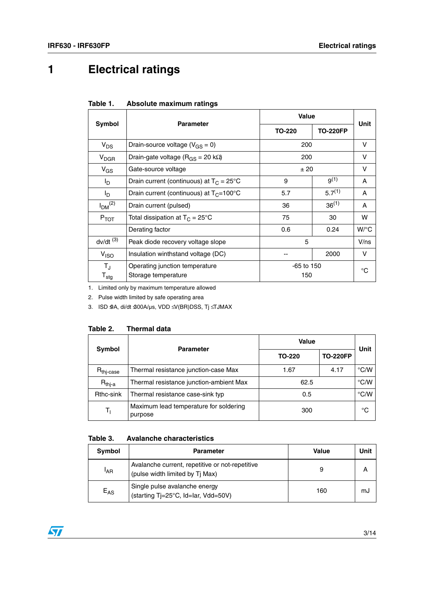# <span id="page-2-0"></span>**1 Electrical ratings**

| Table 1. | Absolute maximum ratings |  |
|----------|--------------------------|--|
|          |                          |  |

|                                          | <b>Parameter</b>                                      | Value               |                 | Unit         |
|------------------------------------------|-------------------------------------------------------|---------------------|-----------------|--------------|
| Symbol                                   |                                                       | TO-220              | <b>TO-220FP</b> |              |
| $V_{DS}$                                 | Drain-source voltage ( $V_{GS} = 0$ )                 | 200                 |                 | v            |
| $V_{DGR}$                                | Drain-gate voltage ( $R_{GS}$ = 20 k $\Omega$ )       | 200                 |                 | v            |
| $V_{GS}$                                 | Gate-source voltage                                   | ±20                 |                 | v            |
| l <sub>D</sub>                           | Drain current (continuous) at $T_c = 25^{\circ}$ C    | 9                   | $9^{(1)}$       | A            |
| l <sub>D</sub>                           | Drain current (continuous) at $T_C = 100^{\circ}C$    | 5.7                 | $5.7^{(1)}$     | A            |
| I <sub>DM</sub> <sup>(2)</sup>           | Drain current (pulsed)                                | 36                  | $36^{(1)}$      | A            |
| $P_{TOT}$                                | Total dissipation at $T_C = 25^{\circ}C$              | 75                  | 30              | w            |
|                                          | Derating factor                                       | 0.6                 | 0.24            | $W$ /°C      |
| $dv/dt$ <sup>(3)</sup>                   | Peak diode recovery voltage slope                     | 5                   |                 | V/ns         |
| V <sub>ISO</sub>                         | Insulation winthstand voltage (DC)                    |                     | 2000            | v            |
| $T_{\rm J}$<br>$\mathsf{T}_{\text{stg}}$ | Operating junction temperature<br>Storage temperature | $-65$ to 150<br>150 |                 | $^{\circ}$ C |

1. Limited only by maximum temperature allowed

2. Pulse width limited by safe operating area

3. ISD ≤9A, di/dt ≤300A/µs, VDD ≤V(BR)DSS, Tj ≤TJMAX

#### **Table 2. Thermal data**

| <b>Symbol</b>                  | <b>Parameter</b>                                  | Value  |                 | Unit          |
|--------------------------------|---------------------------------------------------|--------|-----------------|---------------|
|                                |                                                   | TO-220 | <b>TO-220FP</b> |               |
| $R_{\mathsf{thi}\text{-case}}$ | Thermal resistance junction-case Max              | 1.67   | 4.17            | $\degree$ C/W |
| $R_{thi-a}$                    | Thermal resistance junction-ambient Max           | 62.5   |                 | $\degree$ C/W |
| Rthc-sink                      | Thermal resistance case-sink typ                  | 0.5    |                 | °C/W          |
| T,                             | Maximum lead temperature for soldering<br>purpose | 300    |                 | °C            |

#### **Table 3. Avalanche characteristics**

| Symbol          | <b>Parameter</b>                                                                   | Value | Unit |
|-----------------|------------------------------------------------------------------------------------|-------|------|
| <sup>I</sup> AR | Avalanche current, repetitive or not-repetitive<br>(pulse width limited by Tj Max) |       |      |
| $E_{AS}$        | Single pulse avalanche energy<br>(starting Tj=25°C, Id=Iar, Vdd=50V)               | 160   | mJ   |

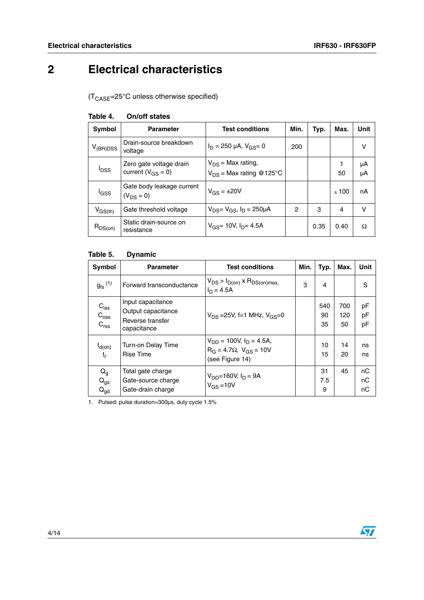# <span id="page-3-0"></span>**2 Electrical characteristics**

 $(T_{\text{CASE}} = 25^{\circ} \text{C}$  unless otherwise specified)

| Symbol                  | <b>Parameter</b>                                    | <b>Test conditions</b>                                 | Min. | Typ. | Max. | Unit     |
|-------------------------|-----------------------------------------------------|--------------------------------------------------------|------|------|------|----------|
| $V_{(BR)DSS}$           | Drain-source breakdown<br>voltage                   | $I_D = 250 \mu A$ , $V_{GS} = 0$                       | 200  |      |      | ν        |
| <b>I</b> <sub>DSS</sub> | Zero gate voltage drain<br>current ( $V_{GS} = 0$ ) | $V_{DS}$ = Max rating,<br>$V_{DS}$ = Max rating @125°C |      |      | 50   | μA<br>μA |
| <sup>I</sup> GSS        | Gate body leakage current<br>$(V_{DS} = 0)$         | $V_{GS} = \pm 20V$                                     |      |      | ±100 | nA       |
| $V_{GS(th)}$            | Gate threshold voltage                              | $V_{DS} = V_{GS}$ , $I_D = 250 \mu A$                  | 2    | 3    | 4    | ν        |
| $R_{DS(on)}$            | Static drain-source on<br>resistance                | $V_{GS}$ = 10V, $I_{D}$ = 4.5A                         |      | 0.35 | 0.40 | Ω        |

#### **Table 4. On/off states**

#### **Table 5. Dynamic**

| Symbol                                                   | <b>Parameter</b>                                                           | <b>Test conditions</b>                                                                   | Min. | Typ.            | Max.             | Unit           |
|----------------------------------------------------------|----------------------------------------------------------------------------|------------------------------------------------------------------------------------------|------|-----------------|------------------|----------------|
| $g_{\mathrm{fs}}^{\left(1\right)}$                       | Forward transconductance                                                   | $V_{DS}$ > $I_{D(on)}$ x $R_{DS(on)max}$ ,<br>$I_D = 4.5A$                               | 3    | 4               |                  | S              |
| $C_{iss}$<br>$C_{\text{oss}}$<br>C <sub>rss</sub>        | Input capacitance<br>Output capacitance<br>Reverse transfer<br>capacitance | $V_{DS} = 25V$ , f=1 MHz, $V_{GS} = 0$                                                   |      | 540<br>90<br>35 | 700<br>120<br>50 | pF<br>pF<br>pF |
| $t_{d(on)}$<br>$t_{r}$                                   | <b>Turn-on Delay Time</b><br>Rise Time                                     | $V_{DD}$ = 100V, $I_D$ = 4.5A,<br>$R_G = 4.7 \Omega$ , $V_{GS} = 10V$<br>(see Figure 14) |      | 10<br>15        | 14<br>20         | ns<br>ns       |
| $\mathsf{Q}_{\mathsf{g}}$<br>$Q_{gs}$<br>$Q_{\text{qd}}$ | Total gate charge<br>Gate-source charge<br>Gate-drain charge               | $V_{DD} = 160V, I_D = 9A$<br>$V_{GS} = 10V$                                              |      | 31<br>7.5<br>9  | 45               | nC<br>nC<br>nC |

1. Pulsed: pulse duration=300µs, duty cycle 1.5%

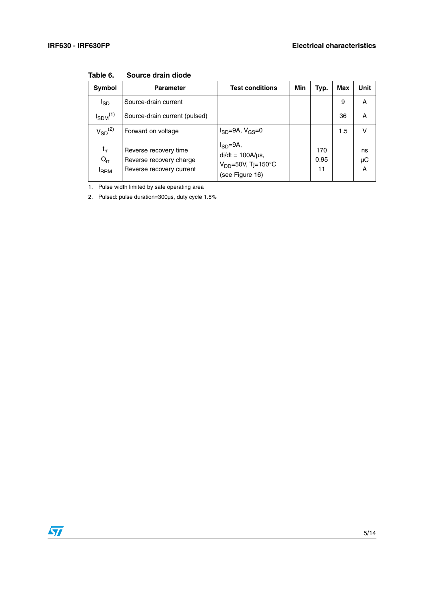| Symbol                                                  | <b>Parameter</b>                                                             | <b>Test conditions</b>                                                                  | Min | Typ.              | Max | Unit          |
|---------------------------------------------------------|------------------------------------------------------------------------------|-----------------------------------------------------------------------------------------|-----|-------------------|-----|---------------|
| I <sub>SD</sub>                                         | Source-drain current                                                         |                                                                                         |     |                   | 9   | A             |
| $I_{SDM}$ <sup>(1)</sup>                                | Source-drain current (pulsed)                                                |                                                                                         |     |                   | 36  | A             |
| $V_{SD}$ <sup>(2)</sup>                                 | Forward on voltage                                                           | $I_{SD} = 9A$ , $V_{GS} = 0$                                                            |     |                   | 1.5 | v             |
| $\mathfrak{t}_{\mathsf{rr}}$<br>$Q_{rr}$<br><b>IRRM</b> | Reverse recovery time<br>Reverse recovery charge<br>Reverse recovery current | $I_{SD} = 9A$ ,<br>$di/dt = 100A/\mu s$ ,<br>$V_{DD}$ =50V, Tj=150°C<br>(see Figure 16) |     | 170<br>0.95<br>11 |     | ns<br>μC<br>A |

**Table 6. Source drain diode**

1. Pulse width limited by safe operating area

2. Pulsed: pulse duration=300µs, duty cycle 1.5%

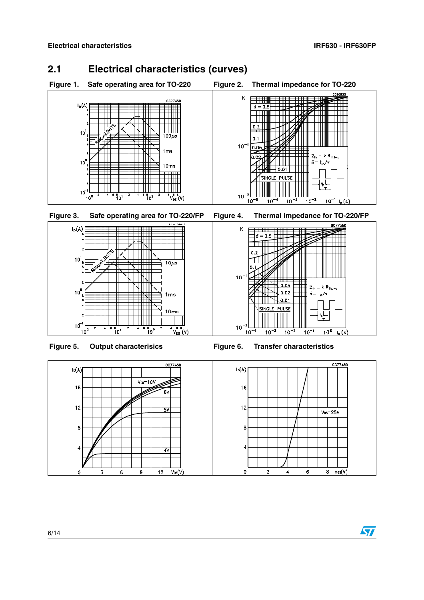### <span id="page-5-0"></span>**2.1 Electrical characteristics (curves)**











Figure 5. Output characterisics **Figure 6. Transfer characteristics** 



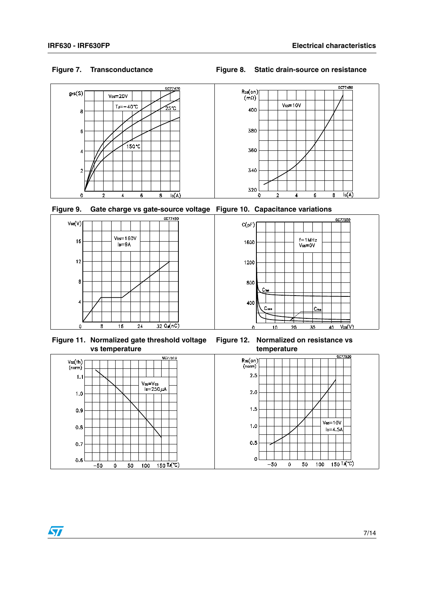#### **Figure 7. Transconductance Figure 8. Static drain-source on resistance**



**Figure 9. Gate charge vs gate-source voltage Figure 10. Capacitance variations**



**Figure 11. Normalized gate threshold voltage vs temperature**



**Figure 12. Normalized on resistance vs temperature**



 $\bm{\varPi}$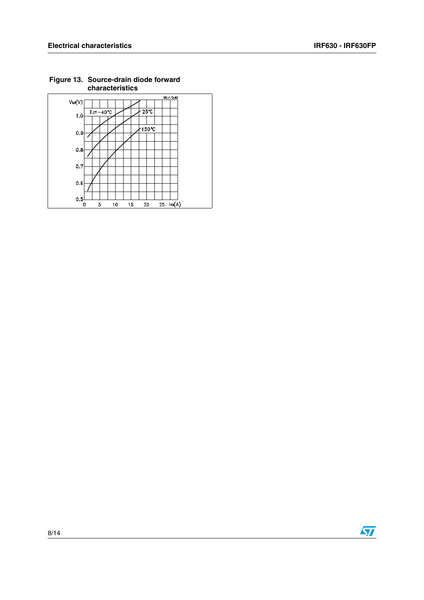

**Figure 13. Source-drain diode forward characteristics**

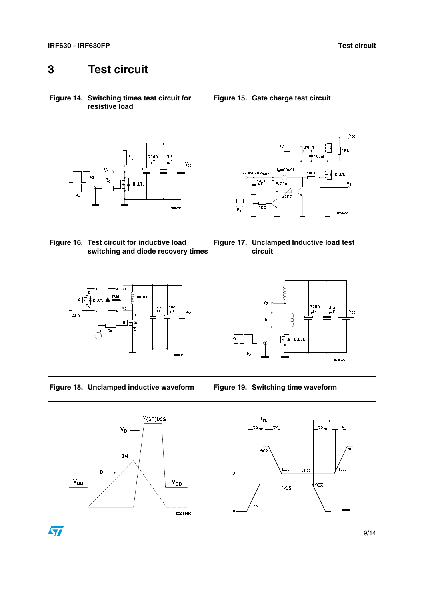# <span id="page-8-0"></span>**3 Test circuit**

<span id="page-8-1"></span>**Figure 14. Switching times test circuit for resistive load**



<span id="page-8-2"></span>**Figure 16. Test circuit for inductive load switching and diode recovery times**







**Figure 15. Gate charge test circuit**

**Figure 17. Unclamped Inductive load test circuit**



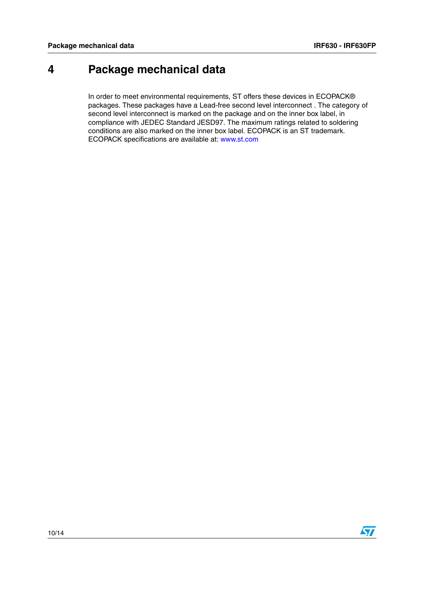### <span id="page-9-0"></span>**4 Package mechanical data**

In order to meet environmental requirements, ST offers these devices in ECOPACK® packages. These packages have a Lead-free second level interconnect . The category of second level interconnect is marked on the package and on the inner box label, in compliance with JEDEC Standard JESD97. The maximum ratings related to soldering conditions are also marked on the inner box label. ECOPACK is an ST trademark. ECOPACK specifications are available at: www.st.com

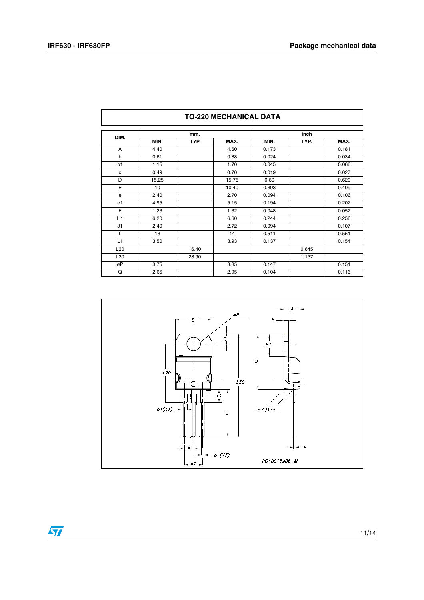| DIM.            |       | mm.        |       |       | inch  |       |
|-----------------|-------|------------|-------|-------|-------|-------|
|                 | MIN.  | <b>TYP</b> | MAX.  | MIN.  | TYP.  | MAX.  |
| A               | 4.40  |            | 4.60  | 0.173 |       | 0.181 |
| b               | 0.61  |            | 0.88  | 0.024 |       | 0.034 |
| b1              | 1.15  |            | 1.70  | 0.045 |       | 0.066 |
| c               | 0.49  |            | 0.70  | 0.019 |       | 0.027 |
| D               | 15.25 |            | 15.75 | 0.60  |       | 0.620 |
| E               | 10    |            | 10.40 | 0.393 |       | 0.409 |
| e               | 2.40  |            | 2.70  | 0.094 |       | 0.106 |
| e <sub>1</sub>  | 4.95  |            | 5.15  | 0.194 |       | 0.202 |
| F               | 1.23  |            | 1.32  | 0.048 |       | 0.052 |
| H1              | 6.20  |            | 6.60  | 0.244 |       | 0.256 |
| J1              | 2.40  |            | 2.72  | 0.094 |       | 0.107 |
| L               | 13    |            | 14    | 0.511 |       | 0.551 |
| L1              | 3.50  |            | 3.93  | 0.137 |       | 0.154 |
| L <sub>20</sub> |       | 16.40      |       |       | 0.645 |       |
| L30             |       | 28.90      |       |       | 1.137 |       |
| øP              | 3.75  |            | 3.85  | 0.147 |       | 0.151 |
| Q               | 2.65  |            | 2.95  | 0.104 |       | 0.116 |

### **TO-220 MECHANICAL DATA**

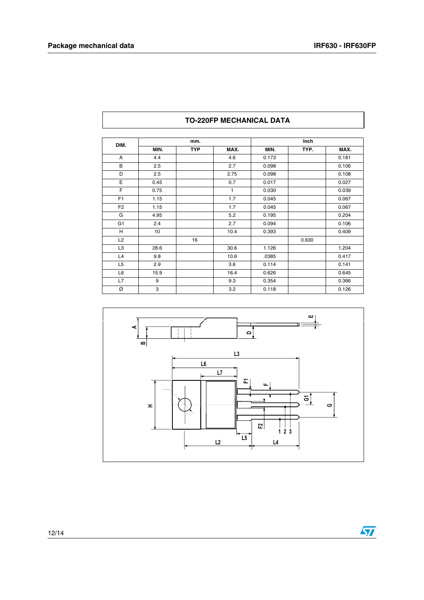| DIM.           | mm.  |            |      | inch  |       |       |
|----------------|------|------------|------|-------|-------|-------|
|                | MIN. | <b>TYP</b> | MAX. | MIN.  | TYP.  | MAX.  |
| A              | 4.4  |            | 4.6  | 0.173 |       | 0.181 |
| B              | 2.5  |            | 2.7  | 0.098 |       | 0.106 |
| D              | 2.5  |            | 2.75 | 0.098 |       | 0.108 |
| E              | 0.45 |            | 0.7  | 0.017 |       | 0.027 |
| F              | 0.75 |            | 1    | 0.030 |       | 0.039 |
| F <sub>1</sub> | 1.15 |            | 1.7  | 0.045 |       | 0.067 |
| F <sub>2</sub> | 1.15 |            | 1.7  | 0.045 |       | 0.067 |
| G              | 4.95 |            | 5.2  | 0.195 |       | 0.204 |
| G <sub>1</sub> | 2.4  |            | 2.7  | 0.094 |       | 0.106 |
| H              | 10   |            | 10.4 | 0.393 |       | 0.409 |
| L2             |      | 16         |      |       | 0.630 |       |
| L3             | 28.6 |            | 30.6 | 1.126 |       | 1.204 |
| L4             | 9.8  |            | 10.6 | .0385 |       | 0.417 |
| L <sub>5</sub> | 2.9  |            | 3.6  | 0.114 |       | 0.141 |
| L <sub>6</sub> | 15.9 |            | 16.4 | 0.626 |       | 0.645 |
| L7             | 9    |            | 9.3  | 0.354 |       | 0.366 |
| Ø              | 3    |            | 3.2  | 0.118 |       | 0.126 |

#### **TO-220FP MECHANICAL DATA**



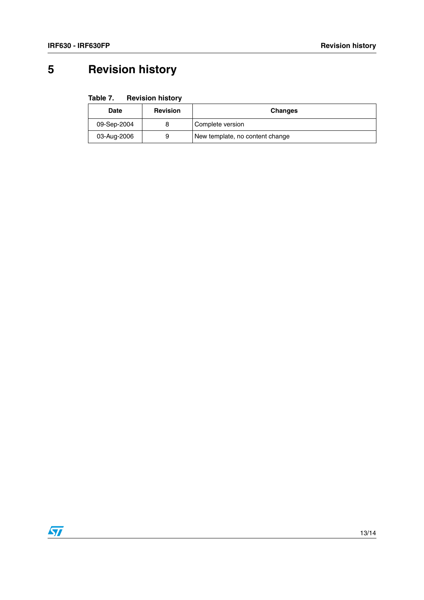# <span id="page-12-0"></span>**5 Revision history**

| Table 7. | <b>Revision history</b> |  |
|----------|-------------------------|--|
|----------|-------------------------|--|

| Date        | <b>Revision</b> | <b>Changes</b>                  |
|-------------|-----------------|---------------------------------|
| 09-Sep-2004 |                 | Complete version                |
| 03-Aug-2006 | 9               | New template, no content change |